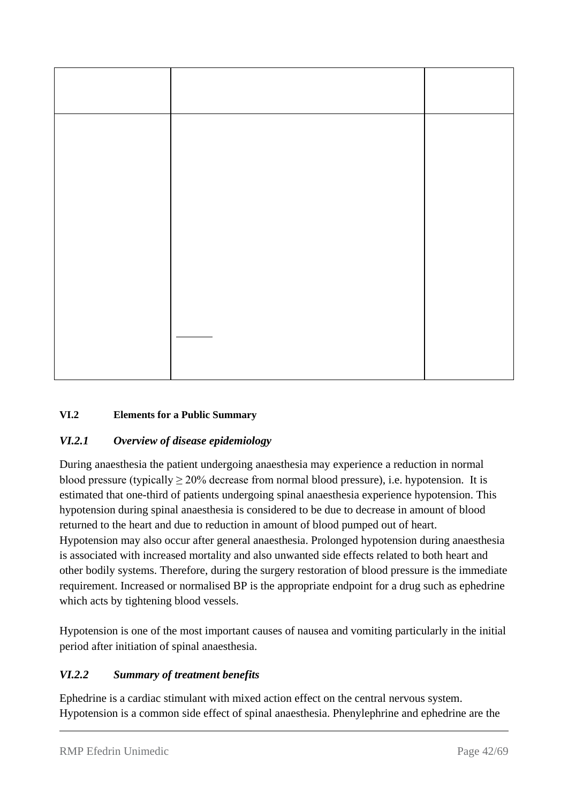# **VI.2 Elements for a Public Summary**

# *VI.2.1 Overview of disease epidemiology*

During anaesthesia the patient undergoing anaesthesia may experience a reduction in normal blood pressure (typically  $\geq 20\%$  decrease from normal blood pressure), i.e. hypotension. It is estimated that one-third of patients undergoing spinal anaesthesia experience hypotension. This hypotension during spinal anaesthesia is considered to be due to decrease in amount of blood returned to the heart and due to reduction in amount of blood pumped out of heart. Hypotension may also occur after general anaesthesia. Prolonged hypotension during anaesthesia is associated with increased mortality and also unwanted side effects related to both heart and other bodily systems. Therefore, during the surgery restoration of blood pressure is the immediate requirement. Increased or normalised BP is the appropriate endpoint for a drug such as ephedrine which acts by tightening blood vessels.

Hypotension is one of the most important causes of nausea and vomiting particularly in the initial period after initiation of spinal anaesthesia.

# *VI.2.2 Summary of treatment benefits*

Ephedrine is a cardiac stimulant with mixed action effect on the central nervous system. Hypotension is a common side effect of spinal anaesthesia. Phenylephrine and ephedrine are the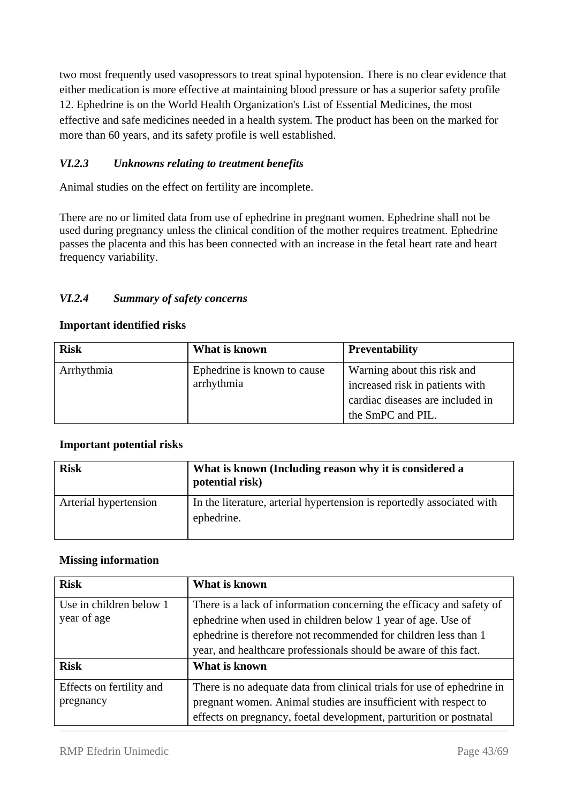two most frequently used vasopressors to treat spinal hypotension. There is no clear evidence that either medication is more effective at maintaining blood pressure or has a superior safety profile 12. Ephedrine is on the World Health Organization's List of Essential Medicines, the most effective and safe medicines needed in a health system. The product has been on the marked for more than 60 years, and its safety profile is well established.

## *VI.2.3 Unknowns relating to treatment benefits*

Animal studies on the effect on fertility are incomplete.

There are no or limited data from use of ephedrine in pregnant women. Ephedrine shall not be used during pregnancy unless the clinical condition of the mother requires treatment. Ephedrine passes the placenta and this has been connected with an increase in the fetal heart rate and heart frequency variability.

### *VI.2.4 Summary of safety concerns*

#### **Important identified risks**

| <b>Risk</b> | What is known                             | <b>Preventability</b>                                                                                                   |
|-------------|-------------------------------------------|-------------------------------------------------------------------------------------------------------------------------|
| Arrhythmia  | Ephedrine is known to cause<br>arrhythmia | Warning about this risk and<br>increased risk in patients with<br>cardiac diseases are included in<br>the SmPC and PIL. |

#### **Important potential risks**

| <b>Risk</b>           | What is known (Including reason why it is considered a<br>potential risk)            |
|-----------------------|--------------------------------------------------------------------------------------|
| Arterial hypertension | In the literature, arterial hypertension is reportedly associated with<br>ephedrine. |

#### **Missing information**

| <b>Risk</b>                            | What is known                                                                                                                                                                                                                                                              |
|----------------------------------------|----------------------------------------------------------------------------------------------------------------------------------------------------------------------------------------------------------------------------------------------------------------------------|
| Use in children below 1<br>year of age | There is a lack of information concerning the efficacy and safety of<br>ephedrine when used in children below 1 year of age. Use of<br>ephedrine is therefore not recommended for children less than 1<br>year, and healthcare professionals should be aware of this fact. |
| <b>Risk</b>                            | What is known                                                                                                                                                                                                                                                              |
| Effects on fertility and<br>pregnancy  | There is no adequate data from clinical trials for use of ephedrine in<br>pregnant women. Animal studies are insufficient with respect to<br>effects on pregnancy, foetal development, parturition or postnatal                                                            |